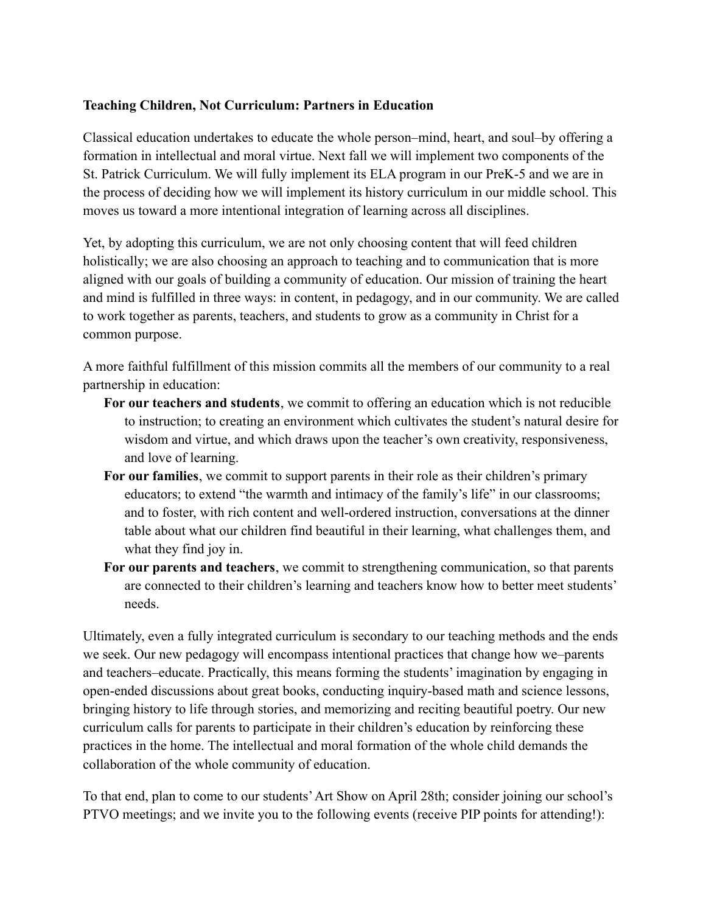## **Teaching Children, Not Curriculum: Partners in Education**

Classical education undertakes to educate the whole person–mind, heart, and soul–by offering a formation in intellectual and moral virtue. Next fall we will implement two components of the St. Patrick Curriculum. We will fully implement its ELA program in our PreK-5 and we are in the process of deciding how we will implement its history curriculum in our middle school. This moves us toward a more intentional integration of learning across all disciplines.

Yet, by adopting this curriculum, we are not only choosing content that will feed children holistically; we are also choosing an approach to teaching and to communication that is more aligned with our goals of building a community of education. Our mission of training the heart and mind is fulfilled in three ways: in content, in pedagogy, and in our community. We are called to work together as parents, teachers, and students to grow as a community in Christ for a common purpose.

A more faithful fulfillment of this mission commits all the members of our community to a real partnership in education:

- **For our teachers and students**, we commit to offering an education which is not reducible to instruction; to creating an environment which cultivates the student's natural desire for wisdom and virtue, and which draws upon the teacher's own creativity, responsiveness, and love of learning.
- **For our families**, we commit to support parents in their role as their children's primary educators; to extend "the warmth and intimacy of the family's life" in our classrooms; and to foster, with rich content and well-ordered instruction, conversations at the dinner table about what our children find beautiful in their learning, what challenges them, and what they find joy in.
- **For our parents and teachers**, we commit to strengthening communication, so that parents are connected to their children's learning and teachers know how to better meet students' needs.

Ultimately, even a fully integrated curriculum is secondary to our teaching methods and the ends we seek. Our new pedagogy will encompass intentional practices that change how we–parents and teachers–educate. Practically, this means forming the students' imagination by engaging in open-ended discussions about great books, conducting inquiry-based math and science lessons, bringing history to life through stories, and memorizing and reciting beautiful poetry. Our new curriculum calls for parents to participate in their children's education by reinforcing these practices in the home. The intellectual and moral formation of the whole child demands the collaboration of the whole community of education.

To that end, plan to come to our students'Art Show on April 28th; consider joining our school's PTVO meetings; and we invite you to the following events (receive PIP points for attending!):